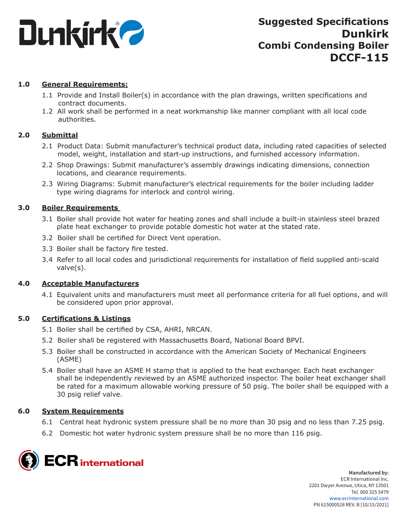

# **1.0 General Requirements:**

- 1.1 Provide and Install Boiler(s) in accordance with the plan drawings, written specifications and contract documents.
- 1.2 All work shall be performed in a neat workmanship like manner compliant with all local code authorities.

# **2.0 Submittal**

- 2.1 Product Data: Submit manufacturer's technical product data, including rated capacities of selected model, weight, installation and start-up instructions, and furnished accessory information.
- 2.2 Shop Drawings: Submit manufacturer's assembly drawings indicating dimensions, connection locations, and clearance requirements.
- 2.3 Wiring Diagrams: Submit manufacturer's electrical requirements for the boiler including ladder type wiring diagrams for interlock and control wiring.

# **3.0 Boiler Requirements**

- 3.1 Boiler shall provide hot water for heating zones and shall include a built-in stainless steel brazed plate heat exchanger to provide potable domestic hot water at the stated rate.
- 3.2 Boiler shall be certified for Direct Vent operation.
- 3.3 Boiler shall be factory fire tested.
- 3.4 Refer to all local codes and jurisdictional requirements for installation of field supplied anti-scald valve(s).

# **4.0 Acceptable Manufacturers**

4.1 Equivalent units and manufacturers must meet all performance criteria for all fuel options, and will be considered upon prior approval.

# **5.0 Certifications & Listings**

- 5.1 Boiler shall be certified by CSA, AHRI, NRCAN.
- 5.2 Boiler shall be registered with Massachusetts Board, National Board BPVI.
- 5.3 Boiler shall be constructed in accordance with the American Society of Mechanical Engineers (ASME)
- 5.4 Boiler shall have an ASME H stamp that is applied to the heat exchanger. Each heat exchanger shall be independently reviewed by an ASME authorized inspector. The boiler heat exchanger shall be rated for a maximum allowable working pressure of 50 psig. The boiler shall be equipped with a 30 psig relief valve.

# **6.0 System Requirements**

- 6.1 Central heat hydronic system pressure shall be no more than 30 psig and no less than 7.25 psig.
- 6.2 Domestic hot water hydronic system pressure shall be no more than 116 psig.

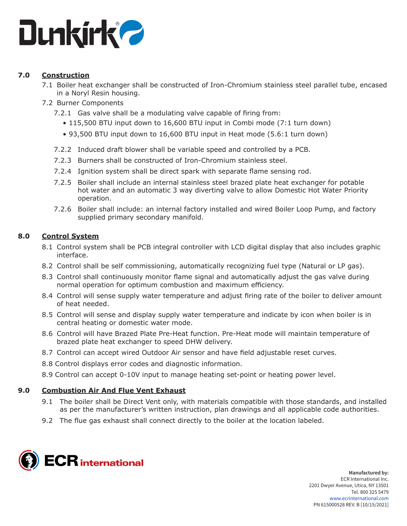

# **7.0 Construction**

- 7.1 Boiler heat exchanger shall be constructed of Iron-Chromium stainless steel parallel tube, encased in a Noryl Resin housing.
- 7.2 Burner Components
	- 7.2.1 Gas valve shall be a modulating valve capable of firing from:
		- 115,500 BTU input down to 16,600 BTU input in Combi mode (7:1 turn down)
		- 93,500 BTU input down to 16,600 BTU input in Heat mode (5.6:1 turn down)
	- 7.2.2 Induced draft blower shall be variable speed and controlled by a PCB.
	- 7.2.3 Burners shall be constructed of Iron-Chromium stainless steel.
	- 7.2.4 Ignition system shall be direct spark with separate flame sensing rod.
	- 7.2.5 Boiler shall include an internal stainless steel brazed plate heat exchanger for potable hot water and an automatic 3 way diverting valve to allow Domestic Hot Water Priority operation.
	- 7.2.6 Boiler shall include: an internal factory installed and wired Boiler Loop Pump, and factory supplied primary secondary manifold.

# **8.0 Control System**

- 8.1 Control system shall be PCB integral controller with LCD digital display that also includes graphic interface.
- 8.2 Control shall be self commissioning, automatically recognizing fuel type (Natural or LP gas).
- 8.3 Control shall continuously monitor flame signal and automatically adjust the gas valve during normal operation for optimum combustion and maximum efficiency.
- 8.4 Control will sense supply water temperature and adjust firing rate of the boiler to deliver amount of heat needed.
- 8.5 Control will sense and display supply water temperature and indicate by icon when boiler is in central heating or domestic water mode.
- 8.6 Control will have Brazed Plate Pre-Heat function. Pre-Heat mode will maintain temperature of brazed plate heat exchanger to speed DHW delivery.
- 8.7 Control can accept wired Outdoor Air sensor and have field adjustable reset curves.
- 8.8 Control displays error codes and diagnostic information.
- 8.9 Control can accept 0-10V input to manage heating set-point or heating power level.

# **9.0 Combustion Air And Flue Vent Exhaust**

- 9.1 The boiler shall be Direct Vent only, with materials compatible with those standards, and installed as per the manufacturer's written instruction, plan drawings and all applicable code authorities.
- 9.2 The flue gas exhaust shall connect directly to the boiler at the location labeled.